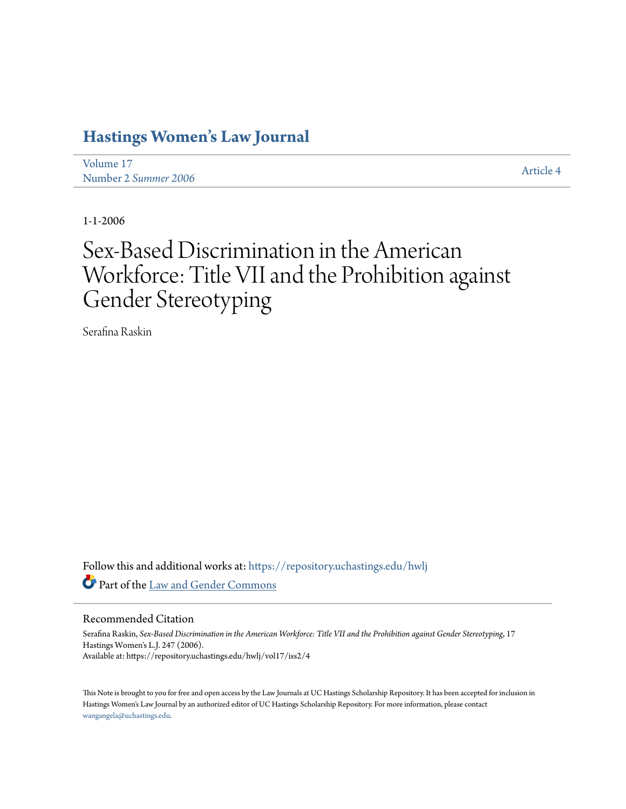## **[Hastings Women's Law Journal](https://repository.uchastings.edu/hwlj?utm_source=repository.uchastings.edu%2Fhwlj%2Fvol17%2Fiss2%2F4&utm_medium=PDF&utm_campaign=PDFCoverPages)**

[Volume 17](https://repository.uchastings.edu/hwlj/vol17?utm_source=repository.uchastings.edu%2Fhwlj%2Fvol17%2Fiss2%2F4&utm_medium=PDF&utm_campaign=PDFCoverPages) Number 2 *[Summer 2006](https://repository.uchastings.edu/hwlj/vol17/iss2?utm_source=repository.uchastings.edu%2Fhwlj%2Fvol17%2Fiss2%2F4&utm_medium=PDF&utm_campaign=PDFCoverPages)* [Article 4](https://repository.uchastings.edu/hwlj/vol17/iss2/4?utm_source=repository.uchastings.edu%2Fhwlj%2Fvol17%2Fiss2%2F4&utm_medium=PDF&utm_campaign=PDFCoverPages)

1-1-2006

# Sex-Based Discrimination in the American Workforce: Title VII and the Prohibition against Gender Stereotyping

Serafina Raskin

Follow this and additional works at: [https://repository.uchastings.edu/hwlj](https://repository.uchastings.edu/hwlj?utm_source=repository.uchastings.edu%2Fhwlj%2Fvol17%2Fiss2%2F4&utm_medium=PDF&utm_campaign=PDFCoverPages) Part of the [Law and Gender Commons](http://network.bepress.com/hgg/discipline/1298?utm_source=repository.uchastings.edu%2Fhwlj%2Fvol17%2Fiss2%2F4&utm_medium=PDF&utm_campaign=PDFCoverPages)

#### Recommended Citation

Serafina Raskin, *Sex-Based Discrimination in the American Workforce: Title VII and the Prohibition against Gender Stereotyping*, 17 Hastings Women's L.J. 247 (2006). Available at: https://repository.uchastings.edu/hwlj/vol17/iss2/4

This Note is brought to you for free and open access by the Law Journals at UC Hastings Scholarship Repository. It has been accepted for inclusion in Hastings Women's Law Journal by an authorized editor of UC Hastings Scholarship Repository. For more information, please contact [wangangela@uchastings.edu](mailto:wangangela@uchastings.edu).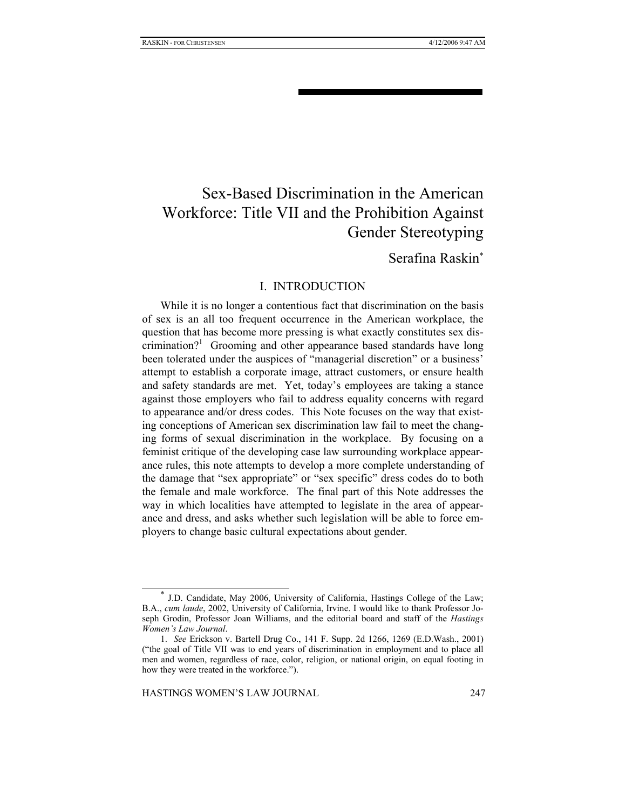## Sex-Based Discrimination in the American Workforce: Title VII and the Prohibition Against Gender Stereotyping

### Serafina Raskin<sup>∗</sup>

#### I. INTRODUCTION

While it is no longer a contentious fact that discrimination on the basis of sex is an all too frequent occurrence in the American workplace, the question that has become more pressing is what exactly constitutes sex discrimination?<sup>1</sup> Grooming and other appearance based standards have long been tolerated under the auspices of "managerial discretion" or a business' attempt to establish a corporate image, attract customers, or ensure health and safety standards are met. Yet, today's employees are taking a stance against those employers who fail to address equality concerns with regard to appearance and/or dress codes. This Note focuses on the way that existing conceptions of American sex discrimination law fail to meet the changing forms of sexual discrimination in the workplace. By focusing on a feminist critique of the developing case law surrounding workplace appearance rules, this note attempts to develop a more complete understanding of the damage that "sex appropriate" or "sex specific" dress codes do to both the female and male workforce. The final part of this Note addresses the way in which localities have attempted to legislate in the area of appearance and dress, and asks whether such legislation will be able to force employers to change basic cultural expectations about gender.

<sup>∗</sup> J.D. Candidate, May 2006, University of California, Hastings College of the Law; B.A., *cum laude*, 2002, University of California, Irvine. I would like to thank Professor Joseph Grodin, Professor Joan Williams, and the editorial board and staff of the *Hastings Women's Law Journal*.

<sup>1.</sup> *See* Erickson v. Bartell Drug Co., 141 F. Supp. 2d 1266, 1269 (E.D.Wash., 2001) ("the goal of Title VII was to end years of discrimination in employment and to place all men and women, regardless of race, color, religion, or national origin, on equal footing in how they were treated in the workforce.").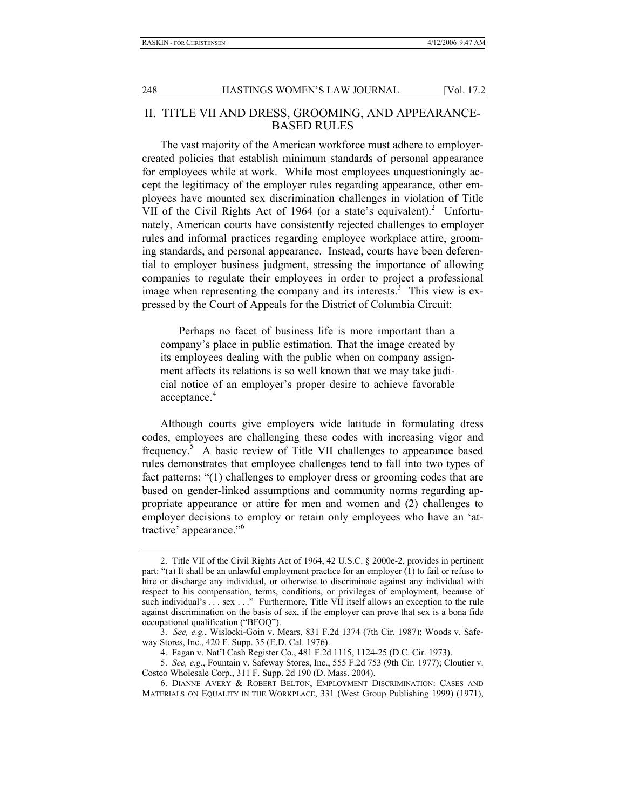#### II. TITLE VII AND DRESS, GROOMING, AND APPEARANCE-BASED RULES

The vast majority of the American workforce must adhere to employercreated policies that establish minimum standards of personal appearance for employees while at work. While most employees unquestioningly accept the legitimacy of the employer rules regarding appearance, other employees have mounted sex discrimination challenges in violation of Title VII of the Civil Rights Act of 1964 (or a state's equivalent).<sup>2</sup> Unfortunately, American courts have consistently rejected challenges to employer rules and informal practices regarding employee workplace attire, grooming standards, and personal appearance. Instead, courts have been deferential to employer business judgment, stressing the importance of allowing companies to regulate their employees in order to project a professional image when representing the company and its interests. $3$  This view is expressed by the Court of Appeals for the District of Columbia Circuit:

Perhaps no facet of business life is more important than a company's place in public estimation. That the image created by its employees dealing with the public when on company assignment affects its relations is so well known that we may take judicial notice of an employer's proper desire to achieve favorable acceptance.<sup>4</sup>

Although courts give employers wide latitude in formulating dress codes, employees are challenging these codes with increasing vigor and frequency.<sup>5</sup> A basic review of Title VII challenges to appearance based rules demonstrates that employee challenges tend to fall into two types of fact patterns: "(1) challenges to employer dress or grooming codes that are based on gender-linked assumptions and community norms regarding appropriate appearance or attire for men and women and (2) challenges to employer decisions to employ or retain only employees who have an 'attractive' appearance."<sup>6</sup>

<sup>2.</sup> Title VII of the Civil Rights Act of 1964, 42 U.S.C. § 2000e-2, provides in pertinent part: "(a) It shall be an unlawful employment practice for an employer (1) to fail or refuse to hire or discharge any individual, or otherwise to discriminate against any individual with respect to his compensation, terms, conditions, or privileges of employment, because of such individual's . . . sex . . ." Furthermore, Title VII itself allows an exception to the rule against discrimination on the basis of sex, if the employer can prove that sex is a bona fide occupational qualification ("BFOQ").

<sup>3.</sup> *See, e.g.*, Wislocki-Goin v. Mears, 831 F.2d 1374 (7th Cir. 1987); Woods v. Safeway Stores, Inc., 420 F. Supp. 35 (E.D. Cal. 1976).

<sup>4.</sup> Fagan v. Nat'l Cash Register Co., 481 F.2d 1115, 1124-25 (D.C. Cir. 1973).

<sup>5.</sup> *See, e.g.*, Fountain v. Safeway Stores, Inc., 555 F.2d 753 (9th Cir. 1977); Cloutier v. Costco Wholesale Corp., 311 F. Supp. 2d 190 (D. Mass. 2004).

<sup>6.</sup> DIANNE AVERY & ROBERT BELTON, EMPLOYMENT DISCRIMINATION: CASES AND MATERIALS ON EQUALITY IN THE WORKPLACE, 331 (West Group Publishing 1999) (1971),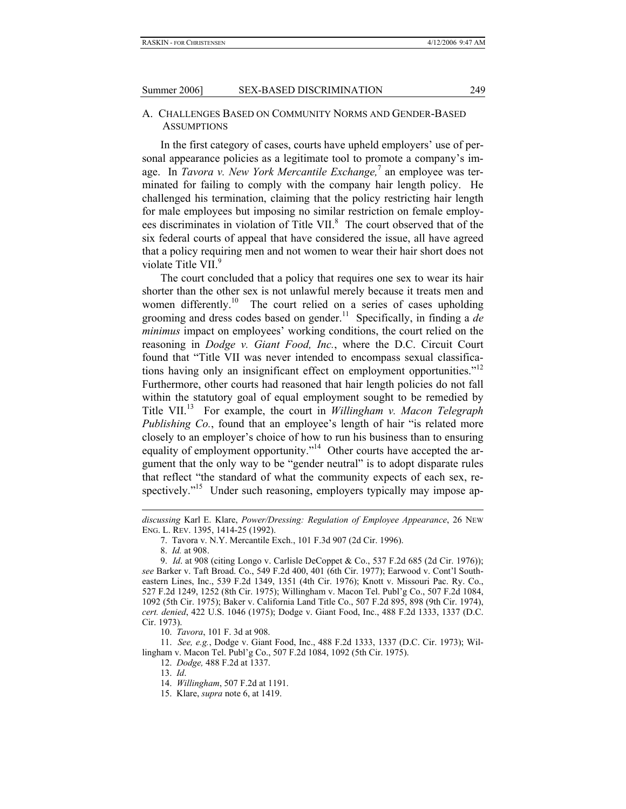#### A. CHALLENGES BASED ON COMMUNITY NORMS AND GENDER-BASED **ASSUMPTIONS**

In the first category of cases, courts have upheld employers' use of personal appearance policies as a legitimate tool to promote a company's image. In *Tavora v. New York Mercantile Exchange*,<sup>7</sup> an employee was terminated for failing to comply with the company hair length policy. He challenged his termination, claiming that the policy restricting hair length for male employees but imposing no similar restriction on female employees discriminates in violation of Title VII.<sup>8</sup> The court observed that of the six federal courts of appeal that have considered the issue, all have agreed that a policy requiring men and not women to wear their hair short does not violate Title VII.<sup>9</sup>

The court concluded that a policy that requires one sex to wear its hair shorter than the other sex is not unlawful merely because it treats men and women differently.<sup>10</sup> The court relied on a series of cases upholding grooming and dress codes based on gender.<sup>11</sup> Specifically, in finding a *de minimus* impact on employees' working conditions, the court relied on the reasoning in *Dodge v. Giant Food, Inc.*, where the D.C. Circuit Court found that "Title VII was never intended to encompass sexual classifications having only an insignificant effect on employment opportunities."<sup>12</sup> Furthermore, other courts had reasoned that hair length policies do not fall within the statutory goal of equal employment sought to be remedied by Title VII.13 For example, the court in *Willingham v. Macon Telegraph Publishing Co.*, found that an employee's length of hair "is related more closely to an employer's choice of how to run his business than to ensuring equality of employment opportunity."<sup>14</sup> Other courts have accepted the argument that the only way to be "gender neutral" is to adopt disparate rules that reflect "the standard of what the community expects of each sex, respectively."<sup>15</sup> Under such reasoning, employers typically may impose ap-

 $\overline{a}$ 

11. *See, e.g.*, Dodge v. Giant Food, Inc., 488 F.2d 1333, 1337 (D.C. Cir. 1973); Willingham v. Macon Tel. Publ'g Co., 507 F.2d 1084, 1092 (5th Cir. 1975).

12. *Dodge,* 488 F.2d at 1337.

*discussing* Karl E. Klare, *Power/Dressing: Regulation of Employee Appearance*, 26 NEW ENG. L. REV. 1395, 1414-25 (1992).

<sup>7.</sup> Tavora v. N.Y. Mercantile Exch., 101 F.3d 907 (2d Cir. 1996).

<sup>8.</sup> *Id.* at 908.

<sup>9.</sup> *Id*. at 908 (citing Longo v. Carlisle DeCoppet & Co., 537 F.2d 685 (2d Cir. 1976)); *see* Barker v. Taft Broad. Co., 549 F.2d 400, 401 (6th Cir. 1977); Earwood v. Cont'l Southeastern Lines, Inc., 539 F.2d 1349, 1351 (4th Cir. 1976); Knott v. Missouri Pac. Ry. Co., 527 F.2d 1249, 1252 (8th Cir. 1975); Willingham v. Macon Tel. Publ'g Co., 507 F.2d 1084, 1092 (5th Cir. 1975); Baker v. California Land Title Co., 507 F.2d 895, 898 (9th Cir. 1974), *cert. denied*, 422 U.S. 1046 (1975); Dodge v. Giant Food, Inc., 488 F.2d 1333, 1337 (D.C. Cir. 1973).

<sup>10.</sup> *Tavora*, 101 F. 3d at 908.

<sup>13.</sup> *Id*.

<sup>14.</sup> *Willingham*, 507 F.2d at 1191.

<sup>15.</sup> Klare, *supra* note 6, at 1419.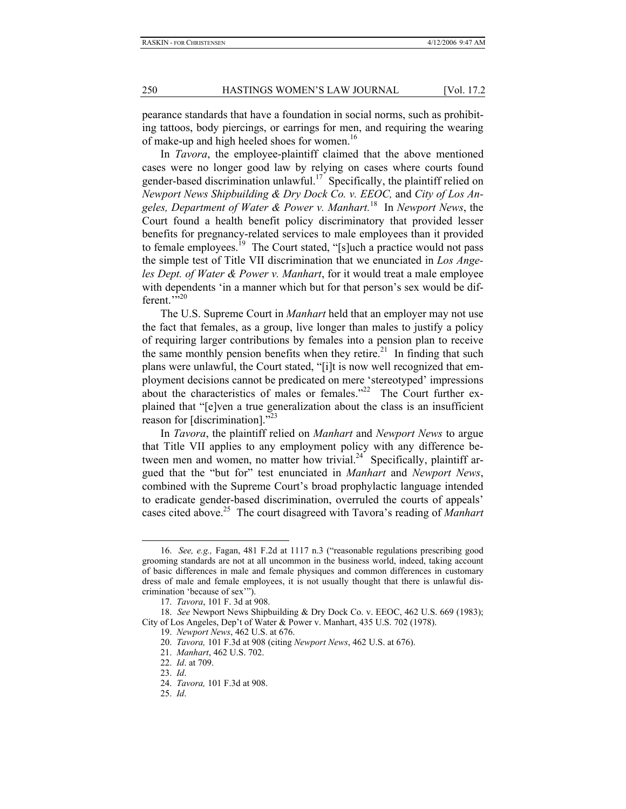pearance standards that have a foundation in social norms, such as prohibiting tattoos, body piercings, or earrings for men, and requiring the wearing of make-up and high heeled shoes for women.<sup>16</sup>

In *Tavora*, the employee-plaintiff claimed that the above mentioned cases were no longer good law by relying on cases where courts found gender-based discrimination unlawful.<sup>17</sup> Specifically, the plaintiff relied on *Newport News Shipbuilding & Dry Dock Co. v. EEOC,* and *City of Los Angeles, Department of Water & Power v. Manhart.*18 In *Newport News*, the Court found a health benefit policy discriminatory that provided lesser benefits for pregnancy-related services to male employees than it provided to female employees.<sup>19</sup> The Court stated, "[s]uch a practice would not pass the simple test of Title VII discrimination that we enunciated in *Los Angeles Dept. of Water & Power v. Manhart*, for it would treat a male employee with dependents 'in a manner which but for that person's sex would be different. $\frac{1}{2}$ <sup>20</sup>

The U.S. Supreme Court in *Manhart* held that an employer may not use the fact that females, as a group, live longer than males to justify a policy of requiring larger contributions by females into a pension plan to receive the same monthly pension benefits when they retire.<sup>21</sup> In finding that such plans were unlawful, the Court stated, "[i]t is now well recognized that employment decisions cannot be predicated on mere 'stereotyped' impressions about the characteristics of males or females."<sup>22</sup> The Court further explained that "[e]ven a true generalization about the class is an insufficient reason for [discrimination]."<sup>23</sup>

In *Tavora*, the plaintiff relied on *Manhart* and *Newport News* to argue that Title VII applies to any employment policy with any difference between men and women, no matter how trivial.<sup>24</sup> Specifically, plaintiff argued that the "but for" test enunciated in *Manhart* and *Newport News*, combined with the Supreme Court's broad prophylactic language intended to eradicate gender-based discrimination, overruled the courts of appeals' cases cited above.25 The court disagreed with Tavora's reading of *Manhart*

<sup>16.</sup> *See, e.g.,* Fagan, 481 F.2d at 1117 n.3 ("reasonable regulations prescribing good grooming standards are not at all uncommon in the business world, indeed, taking account of basic differences in male and female physiques and common differences in customary dress of male and female employees, it is not usually thought that there is unlawful discrimination 'because of sex'").

<sup>17.</sup> *Tavora*, 101 F. 3d at 908.

<sup>18.</sup> *See* Newport News Shipbuilding & Dry Dock Co. v. EEOC, 462 U.S. 669 (1983); City of Los Angeles, Dep't of Water & Power v. Manhart, 435 U.S. 702 (1978).

<sup>19.</sup> *Newport News*, 462 U.S. at 676.

<sup>20.</sup> *Tavora,* 101 F.3d at 908 (citing *Newport News*, 462 U.S. at 676).

<sup>21.</sup> *Manhart*, 462 U.S. 702.

<sup>22.</sup> *Id*. at 709.

<sup>23.</sup> *Id*.

<sup>24.</sup> *Tavora,* 101 F.3d at 908.

<sup>25.</sup> *Id*.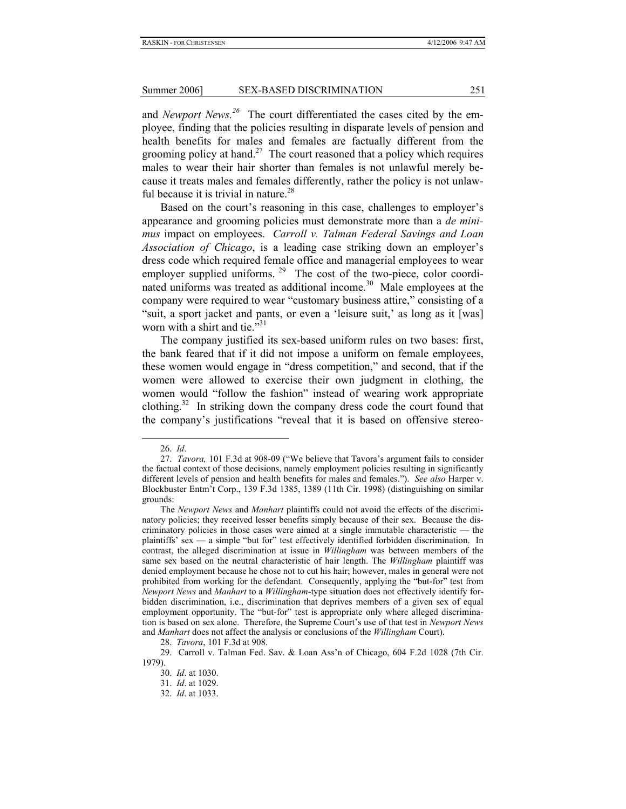and *Newport News.26* The court differentiated the cases cited by the employee, finding that the policies resulting in disparate levels of pension and health benefits for males and females are factually different from the grooming policy at hand.<sup>27</sup> The court reasoned that a policy which requires males to wear their hair shorter than females is not unlawful merely because it treats males and females differently, rather the policy is not unlawful because it is trivial in nature. $28$ 

Based on the court's reasoning in this case, challenges to employer's appearance and grooming policies must demonstrate more than a *de minimus* impact on employees. *Carroll v. Talman Federal Savings and Loan Association of Chicago*, is a leading case striking down an employer's dress code which required female office and managerial employees to wear employer supplied uniforms.  $29$  The cost of the two-piece, color coordinated uniforms was treated as additional income.<sup>30</sup> Male employees at the company were required to wear "customary business attire," consisting of a "suit, a sport jacket and pants, or even a 'leisure suit,' as long as it [was] worn with a shirt and tie."<sup>31</sup>

The company justified its sex-based uniform rules on two bases: first, the bank feared that if it did not impose a uniform on female employees, these women would engage in "dress competition," and second, that if the women were allowed to exercise their own judgment in clothing, the women would "follow the fashion" instead of wearing work appropriate clothing.<sup>32</sup> In striking down the company dress code the court found that the company's justifications "reveal that it is based on offensive stereo-

<sup>26.</sup> *Id*.

<sup>27.</sup> *Tavora,* 101 F.3d at 908-09 ("We believe that Tavora's argument fails to consider the factual context of those decisions, namely employment policies resulting in significantly different levels of pension and health benefits for males and females."). *See also* Harper v. Blockbuster Entm't Corp., 139 F.3d 1385, 1389 (11th Cir. 1998) (distinguishing on similar grounds:

The *Newport News* and *Manhart* plaintiffs could not avoid the effects of the discriminatory policies; they received lesser benefits simply because of their sex. Because the discriminatory policies in those cases were aimed at a single immutable characteristic — the plaintiffs' sex — a simple "but for" test effectively identified forbidden discrimination. In contrast, the alleged discrimination at issue in *Willingham* was between members of the same sex based on the neutral characteristic of hair length. The *Willingham* plaintiff was denied employment because he chose not to cut his hair; however, males in general were not prohibited from working for the defendant. Consequently, applying the "but-for" test from *Newport News* and *Manhart* to a *Willingham*-type situation does not effectively identify forbidden discrimination, i.e., discrimination that deprives members of a given sex of equal employment opportunity. The "but-for" test is appropriate only where alleged discrimination is based on sex alone. Therefore, the Supreme Court's use of that test in *Newport News* and *Manhart* does not affect the analysis or conclusions of the *Willingham* Court).

<sup>28.</sup> *Tavora*, 101 F.3d at 908.

<sup>29.</sup> Carroll v. Talman Fed. Sav. & Loan Ass'n of Chicago, 604 F.2d 1028 (7th Cir. 1979).

<sup>30.</sup> *Id*. at 1030.

<sup>31.</sup> *Id*. at 1029.

<sup>32.</sup> *Id*. at 1033.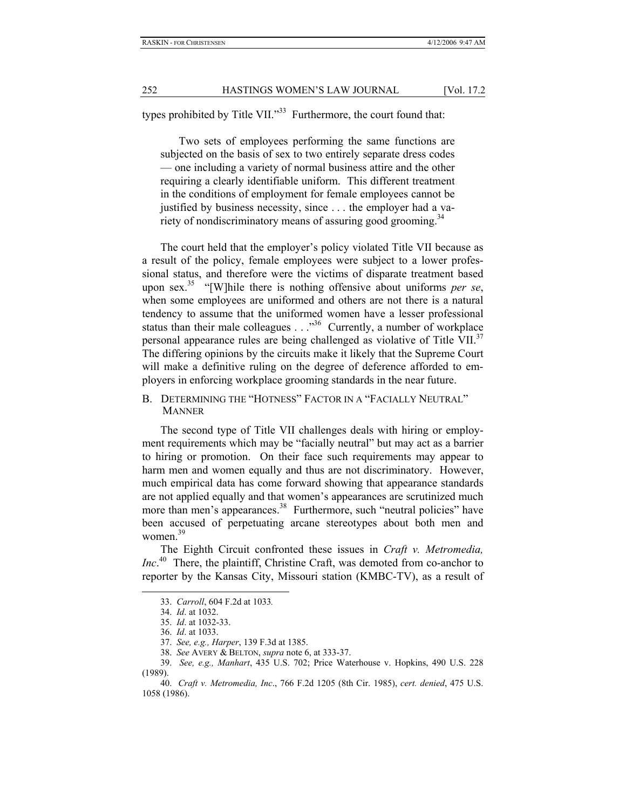types prohibited by Title VII."<sup>33</sup> Furthermore, the court found that:

Two sets of employees performing the same functions are subjected on the basis of sex to two entirely separate dress codes — one including a variety of normal business attire and the other requiring a clearly identifiable uniform. This different treatment in the conditions of employment for female employees cannot be justified by business necessity, since . . . the employer had a variety of nondiscriminatory means of assuring good grooming.<sup>34</sup>

The court held that the employer's policy violated Title VII because as a result of the policy, female employees were subject to a lower professional status, and therefore were the victims of disparate treatment based upon sex.35 "[W]hile there is nothing offensive about uniforms *per se*, when some employees are uniformed and others are not there is a natural tendency to assume that the uniformed women have a lesser professional status than their male colleagues . . . . <sup>356</sup> Currently, a number of workplace personal appearance rules are being challenged as violative of Title VII.<sup>37</sup> The differing opinions by the circuits make it likely that the Supreme Court will make a definitive ruling on the degree of deference afforded to employers in enforcing workplace grooming standards in the near future.

B. DETERMINING THE "HOTNESS" FACTOR IN A "FACIALLY NEUTRAL" MANNER

The second type of Title VII challenges deals with hiring or employment requirements which may be "facially neutral" but may act as a barrier to hiring or promotion. On their face such requirements may appear to harm men and women equally and thus are not discriminatory. However, much empirical data has come forward showing that appearance standards are not applied equally and that women's appearances are scrutinized much more than men's appearances.<sup>38</sup> Furthermore, such "neutral policies" have been accused of perpetuating arcane stereotypes about both men and women.<sup>39</sup>

The Eighth Circuit confronted these issues in *Craft v. Metromedia, Inc*. 40 There, the plaintiff, Christine Craft, was demoted from co-anchor to reporter by the Kansas City, Missouri station (KMBC-TV), as a result of

<sup>33.</sup> *Carroll*, 604 F.2d at 1033*.*

<sup>34.</sup> *Id*. at 1032.

<sup>35.</sup> *Id*. at 1032-33.

<sup>36.</sup> *Id*. at 1033.

<sup>37.</sup> *See, e.g., Harper*, 139 F.3d at 1385.

<sup>38.</sup> *See* AVERY & BELTON, *supra* note 6, at 333-37.

<sup>39.</sup> *See, e.g., Manhart*, 435 U.S. 702; Price Waterhouse v. Hopkins, 490 U.S. 228 (1989).

<sup>40.</sup> *Craft v. Metromedia, Inc*., 766 F.2d 1205 (8th Cir. 1985), *cert. denied*, 475 U.S. 1058 (1986).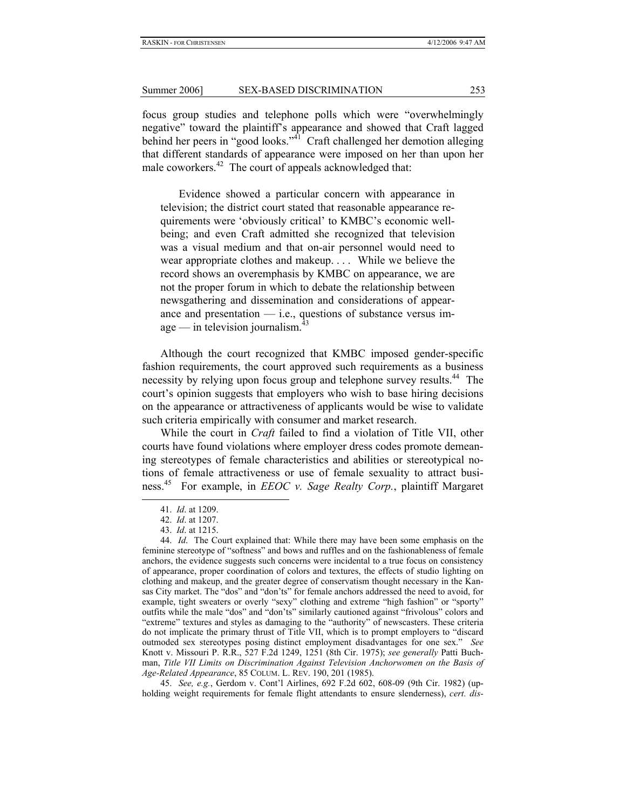focus group studies and telephone polls which were "overwhelmingly negative" toward the plaintiff's appearance and showed that Craft lagged behind her peers in "good looks."<sup>41</sup> Craft challenged her demotion alleging that different standards of appearance were imposed on her than upon her male coworkers.<sup>42</sup> The court of appeals acknowledged that:

Evidence showed a particular concern with appearance in television; the district court stated that reasonable appearance requirements were 'obviously critical' to KMBC's economic wellbeing; and even Craft admitted she recognized that television was a visual medium and that on-air personnel would need to wear appropriate clothes and makeup. . . . While we believe the record shows an overemphasis by KMBC on appearance, we are not the proper forum in which to debate the relationship between newsgathering and dissemination and considerations of appearance and presentation  $-$  i.e., questions of substance versus im $age$  — in television journalism.<sup>43</sup>

Although the court recognized that KMBC imposed gender-specific fashion requirements, the court approved such requirements as a business necessity by relying upon focus group and telephone survey results.<sup>44</sup> The court's opinion suggests that employers who wish to base hiring decisions on the appearance or attractiveness of applicants would be wise to validate such criteria empirically with consumer and market research.

While the court in *Craft* failed to find a violation of Title VII, other courts have found violations where employer dress codes promote demeaning stereotypes of female characteristics and abilities or stereotypical notions of female attractiveness or use of female sexuality to attract business.45 For example, in *EEOC v. Sage Realty Corp.*, plaintiff Margaret

l

45. *See, e.g.*, Gerdom v. Cont'l Airlines, 692 F.2d 602, 608-09 (9th Cir. 1982) (upholding weight requirements for female flight attendants to ensure slenderness), *cert. dis-*

<sup>41.</sup> *Id*. at 1209.

<sup>42.</sup> *Id*. at 1207.

<sup>43.</sup> *Id*. at 1215.

<sup>44.</sup> *Id*. The Court explained that: While there may have been some emphasis on the feminine stereotype of "softness" and bows and ruffles and on the fashionableness of female anchors, the evidence suggests such concerns were incidental to a true focus on consistency of appearance, proper coordination of colors and textures, the effects of studio lighting on clothing and makeup, and the greater degree of conservatism thought necessary in the Kansas City market. The "dos" and "don'ts" for female anchors addressed the need to avoid, for example, tight sweaters or overly "sexy" clothing and extreme "high fashion" or "sporty" outfits while the male "dos" and "don'ts" similarly cautioned against "frivolous" colors and "extreme" textures and styles as damaging to the "authority" of newscasters. These criteria do not implicate the primary thrust of Title VII, which is to prompt employers to "discard outmoded sex stereotypes posing distinct employment disadvantages for one sex." *See* Knott v. Missouri P. R.R., 527 F.2d 1249, 1251 (8th Cir. 1975); *see generally* Patti Buchman, *Title VII Limits on Discrimination Against Television Anchorwomen on the Basis of Age-Related Appearance*, 85 COLUM. L. REV. 190, 201 (1985).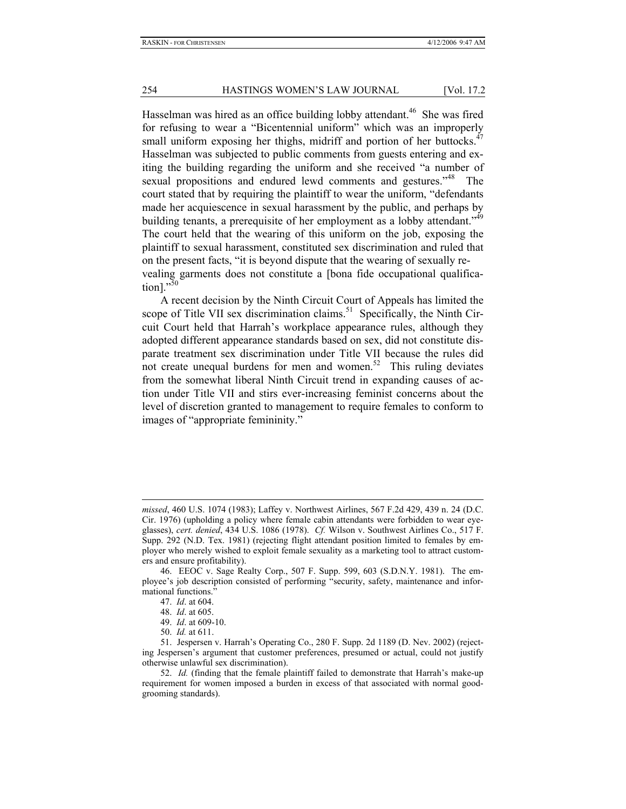Hasselman was hired as an office building lobby attendant.<sup>46</sup> She was fired for refusing to wear a "Bicentennial uniform" which was an improperly small uniform exposing her thighs, midriff and portion of her buttocks. $47$ Hasselman was subjected to public comments from guests entering and exiting the building regarding the uniform and she received "a number of sexual propositions and endured lewd comments and gestures."<sup>48</sup> The court stated that by requiring the plaintiff to wear the uniform, "defendants made her acquiescence in sexual harassment by the public, and perhaps by building tenants, a prerequisite of her employment as a lobby attendant.<sup>"49</sup> The court held that the wearing of this uniform on the job, exposing the plaintiff to sexual harassment, constituted sex discrimination and ruled that on the present facts, "it is beyond dispute that the wearing of sexually revealing garments does not constitute a [bona fide occupational qualification]."<sup>50</sup>

A recent decision by the Ninth Circuit Court of Appeals has limited the scope of Title VII sex discrimination claims.<sup>51</sup> Specifically, the Ninth Circuit Court held that Harrah's workplace appearance rules, although they adopted different appearance standards based on sex, did not constitute disparate treatment sex discrimination under Title VII because the rules did not create unequal burdens for men and women.<sup>52</sup> This ruling deviates from the somewhat liberal Ninth Circuit trend in expanding causes of action under Title VII and stirs ever-increasing feminist concerns about the level of discretion granted to management to require females to conform to images of "appropriate femininity."

-

*missed*, 460 U.S. 1074 (1983); Laffey v. Northwest Airlines, 567 F.2d 429, 439 n. 24 (D.C. Cir. 1976) (upholding a policy where female cabin attendants were forbidden to wear eyeglasses), *cert. denied*, 434 U.S. 1086 (1978). *Cf.* Wilson v. Southwest Airlines Co., 517 F. Supp. 292 (N.D. Tex. 1981) (rejecting flight attendant position limited to females by employer who merely wished to exploit female sexuality as a marketing tool to attract customers and ensure profitability).

<sup>46.</sup> EEOC v. Sage Realty Corp., 507 F. Supp. 599, 603 (S.D.N.Y. 1981). The employee's job description consisted of performing "security, safety, maintenance and informational functions."

<sup>47.</sup> *Id*. at 604.

<sup>48.</sup> *Id*. at 605.

<sup>49.</sup> *Id*. at 609-10.

<sup>50.</sup> *Id.* at 611.

<sup>51.</sup> Jespersen v. Harrah's Operating Co., 280 F. Supp. 2d 1189 (D. Nev. 2002) (rejecting Jespersen's argument that customer preferences, presumed or actual, could not justify otherwise unlawful sex discrimination).

<sup>52.</sup> *Id.* (finding that the female plaintiff failed to demonstrate that Harrah's make-up requirement for women imposed a burden in excess of that associated with normal goodgrooming standards).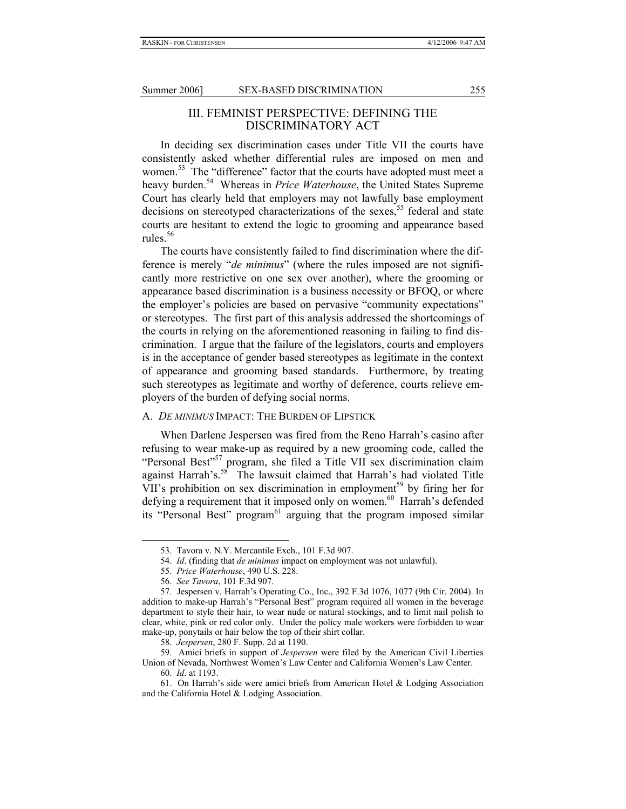#### III. FEMINIST PERSPECTIVE: DEFINING THE DISCRIMINATORY ACT

In deciding sex discrimination cases under Title VII the courts have consistently asked whether differential rules are imposed on men and women.<sup>53</sup> The "difference" factor that the courts have adopted must meet a heavy burden.<sup>54</sup> Whereas in *Price Waterhouse*, the United States Supreme Court has clearly held that employers may not lawfully base employment decisions on stereotyped characterizations of the sexes,<sup>55</sup> federal and state courts are hesitant to extend the logic to grooming and appearance based rules. $56$ 

The courts have consistently failed to find discrimination where the difference is merely "*de minimus*" (where the rules imposed are not significantly more restrictive on one sex over another), where the grooming or appearance based discrimination is a business necessity or BFOQ, or where the employer's policies are based on pervasive "community expectations" or stereotypes. The first part of this analysis addressed the shortcomings of the courts in relying on the aforementioned reasoning in failing to find discrimination. I argue that the failure of the legislators, courts and employers is in the acceptance of gender based stereotypes as legitimate in the context of appearance and grooming based standards. Furthermore, by treating such stereotypes as legitimate and worthy of deference, courts relieve employers of the burden of defying social norms.

#### A. *DE MINIMUS* IMPACT: THE BURDEN OF LIPSTICK

When Darlene Jespersen was fired from the Reno Harrah's casino after refusing to wear make-up as required by a new grooming code, called the "Personal Best"<sup>57</sup> program, she filed a Title VII sex discrimination claim against Harrah's.<sup>58</sup> The lawsuit claimed that Harrah's had violated Title VII's prohibition on sex discrimination in employment<sup>59</sup> by firing her for defying a requirement that it imposed only on women.<sup>60</sup> Harrah's defended its "Personal Best" program<sup>61</sup> arguing that the program imposed similar

<sup>53.</sup> Tavora v. N.Y. Mercantile Exch., 101 F.3d 907.

<sup>54.</sup> *Id*. (finding that *de minimus* impact on employment was not unlawful).

<sup>55.</sup> *Price Waterhouse*, 490 U.S. 228.

<sup>56.</sup> *See Tavora*, 101 F.3d 907.

<sup>57.</sup> Jespersen v. Harrah's Operating Co., Inc., 392 F.3d 1076, 1077 (9th Cir. 2004). In addition to make-up Harrah's "Personal Best" program required all women in the beverage department to style their hair, to wear nude or natural stockings, and to limit nail polish to clear, white, pink or red color only. Under the policy male workers were forbidden to wear make-up, ponytails or hair below the top of their shirt collar.

<sup>58.</sup> *Jespersen*, 280 F. Supp. 2d at 1190.

<sup>59.</sup> Amici briefs in support of *Jespersen* were filed by the American Civil Liberties Union of Nevada, Northwest Women's Law Center and California Women's Law Center.

<sup>60.</sup> *Id*. at 1193.

<sup>61.</sup> On Harrah's side were amici briefs from American Hotel & Lodging Association and the California Hotel & Lodging Association.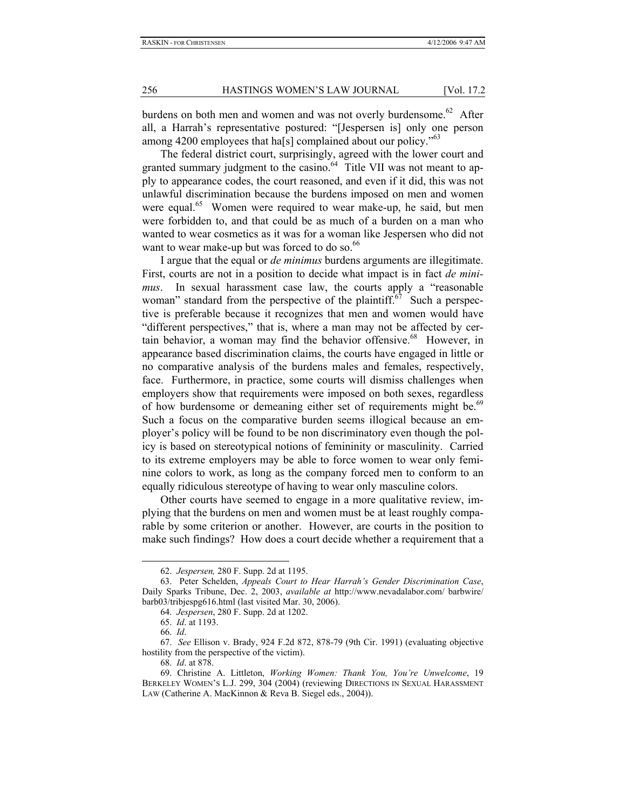burdens on both men and women and was not overly burdensome.<sup>62</sup> After all, a Harrah's representative postured: "[Jespersen is] only one person among 4200 employees that has complained about our policy.<sup>"63</sup>

The federal district court, surprisingly, agreed with the lower court and granted summary judgment to the casino. $64$  Title VII was not meant to apply to appearance codes, the court reasoned, and even if it did, this was not unlawful discrimination because the burdens imposed on men and women were equal.<sup>65</sup> Women were required to wear make-up, he said, but men were forbidden to, and that could be as much of a burden on a man who wanted to wear cosmetics as it was for a woman like Jespersen who did not want to wear make-up but was forced to do so.<sup>66</sup>

I argue that the equal or *de minimus* burdens arguments are illegitimate. First, courts are not in a position to decide what impact is in fact *de minimus*. In sexual harassment case law, the courts apply a "reasonable woman" standard from the perspective of the plaintiff.<sup>67</sup> Such a perspective is preferable because it recognizes that men and women would have "different perspectives," that is, where a man may not be affected by certain behavior, a woman may find the behavior offensive.<sup>68</sup> However, in appearance based discrimination claims, the courts have engaged in little or no comparative analysis of the burdens males and females, respectively, face. Furthermore, in practice, some courts will dismiss challenges when employers show that requirements were imposed on both sexes, regardless of how burdensome or demeaning either set of requirements might be.<sup>69</sup> Such a focus on the comparative burden seems illogical because an employer's policy will be found to be non discriminatory even though the policy is based on stereotypical notions of femininity or masculinity. Carried to its extreme employers may be able to force women to wear only feminine colors to work, as long as the company forced men to conform to an equally ridiculous stereotype of having to wear only masculine colors.

Other courts have seemed to engage in a more qualitative review, implying that the burdens on men and women must be at least roughly comparable by some criterion or another. However, are courts in the position to make such findings? How does a court decide whether a requirement that a

l

68. *Id*. at 878.

<sup>62.</sup> *Jespersen,* 280 F. Supp. 2d at 1195.

<sup>63.</sup> Peter Schelden, *Appeals Court to Hear Harrah's Gender Discrimination Case*, Daily Sparks Tribune, Dec. 2, 2003, *available at* http://www.nevadalabor.com/ barbwire/ barb03/tribjespg616.html (last visited Mar. 30, 2006).

<sup>64.</sup> *Jespersen*, 280 F. Supp. 2d at 1202.

<sup>65.</sup> *Id*. at 1193.

<sup>66.</sup> *Id*.

<sup>67.</sup> *See* Ellison v. Brady, 924 F.2d 872, 878-79 (9th Cir. 1991) (evaluating objective hostility from the perspective of the victim).

<sup>69.</sup> Christine A. Littleton, *Working Women: Thank You, You're Unwelcome*, 19 BERKELEY WOMEN'S L.J. 299, 304 (2004) (reviewing DIRECTIONS IN SEXUAL HARASSMENT LAW (Catherine A. MacKinnon & Reva B. Siegel eds., 2004)).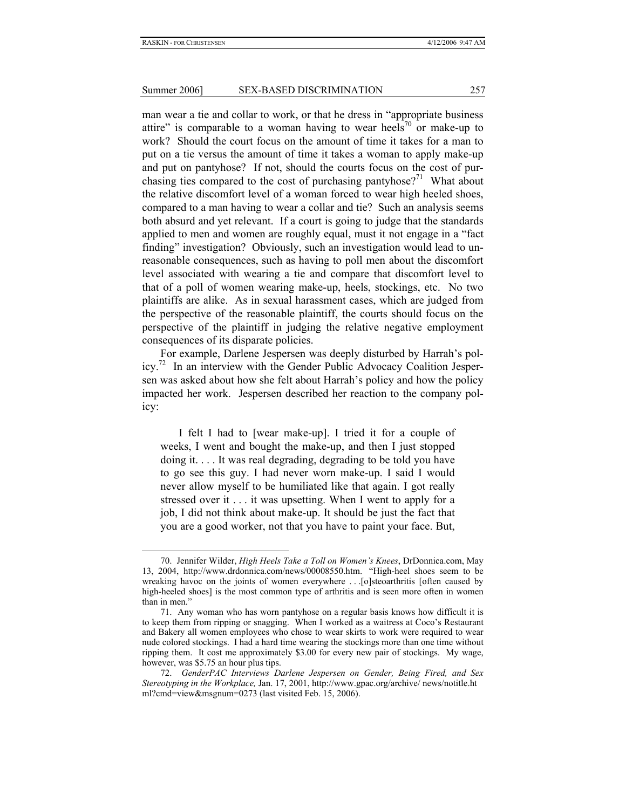man wear a tie and collar to work, or that he dress in "appropriate business attire" is comparable to a woman having to wear heels<sup>70</sup> or make-up to work? Should the court focus on the amount of time it takes for a man to put on a tie versus the amount of time it takes a woman to apply make-up and put on pantyhose? If not, should the courts focus on the cost of purchasing ties compared to the cost of purchasing pantyhose?<sup>71</sup> What about the relative discomfort level of a woman forced to wear high heeled shoes, compared to a man having to wear a collar and tie? Such an analysis seems both absurd and yet relevant. If a court is going to judge that the standards applied to men and women are roughly equal, must it not engage in a "fact finding" investigation? Obviously, such an investigation would lead to unreasonable consequences, such as having to poll men about the discomfort level associated with wearing a tie and compare that discomfort level to that of a poll of women wearing make-up, heels, stockings, etc. No two plaintiffs are alike. As in sexual harassment cases, which are judged from the perspective of the reasonable plaintiff, the courts should focus on the perspective of the plaintiff in judging the relative negative employment consequences of its disparate policies.

For example, Darlene Jespersen was deeply disturbed by Harrah's pol $i$ cy.<sup>72</sup> In an interview with the Gender Public Advocacy Coalition Jespersen was asked about how she felt about Harrah's policy and how the policy impacted her work. Jespersen described her reaction to the company policy:

I felt I had to [wear make-up]. I tried it for a couple of weeks, I went and bought the make-up, and then I just stopped doing it. . . . It was real degrading, degrading to be told you have to go see this guy. I had never worn make-up. I said I would never allow myself to be humiliated like that again. I got really stressed over it . . . it was upsetting. When I went to apply for a job, I did not think about make-up. It should be just the fact that you are a good worker, not that you have to paint your face. But,

<sup>70.</sup> Jennifer Wilder, *High Heels Take a Toll on Women's Knees*, DrDonnica.com, May 13, 2004, http://www.drdonnica.com/news/00008550.htm. "High-heel shoes seem to be wreaking havoc on the joints of women everywhere . . . [o]steoarthritis [often caused by high-heeled shoes] is the most common type of arthritis and is seen more often in women than in men."

<sup>71.</sup> Any woman who has worn pantyhose on a regular basis knows how difficult it is to keep them from ripping or snagging. When I worked as a waitress at Coco's Restaurant and Bakery all women employees who chose to wear skirts to work were required to wear nude colored stockings. I had a hard time wearing the stockings more than one time without ripping them. It cost me approximately \$3.00 for every new pair of stockings. My wage, however, was \$5.75 an hour plus tips.

<sup>72.</sup> *GenderPAC Interviews Darlene Jespersen on Gender, Being Fired, and Sex Stereotyping in the Workplace,* Jan. 17, 2001, http://www.gpac.org/archive/ news/notitle.ht ml?cmd=view&msgnum=0273 (last visited Feb. 15, 2006).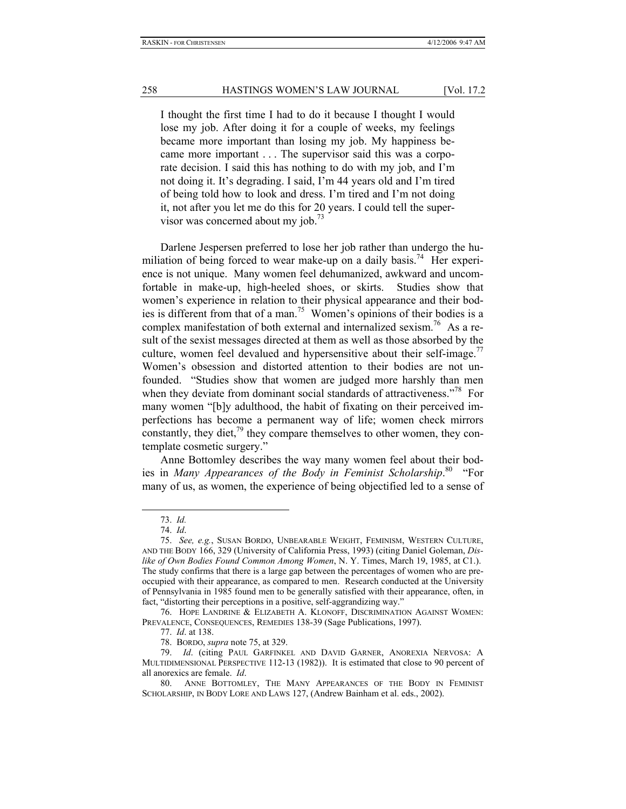I thought the first time I had to do it because I thought I would lose my job. After doing it for a couple of weeks, my feelings became more important than losing my job. My happiness became more important . . . The supervisor said this was a corporate decision. I said this has nothing to do with my job, and I'm not doing it. It's degrading. I said, I'm 44 years old and I'm tired of being told how to look and dress. I'm tired and I'm not doing it, not after you let me do this for 20 years. I could tell the supervisor was concerned about my job.<sup>73</sup>

Darlene Jespersen preferred to lose her job rather than undergo the humiliation of being forced to wear make-up on a daily basis.<sup>74</sup> Her experience is not unique. Many women feel dehumanized, awkward and uncomfortable in make-up, high-heeled shoes, or skirts. Studies show that women's experience in relation to their physical appearance and their bodies is different from that of a man.<sup>75</sup> Women's opinions of their bodies is a complex manifestation of both external and internalized sexism.<sup>76</sup> As a result of the sexist messages directed at them as well as those absorbed by the culture, women feel devalued and hypersensitive about their self-image.<sup>77</sup> Women's obsession and distorted attention to their bodies are not unfounded. "Studies show that women are judged more harshly than men when they deviate from dominant social standards of attractiveness.<sup>778</sup> For many women "[b]y adulthood, the habit of fixating on their perceived imperfections has become a permanent way of life; women check mirrors constantly, they diet, $^{79}$  they compare themselves to other women, they contemplate cosmetic surgery."

Anne Bottomley describes the way many women feel about their bodies in *Many Appearances of the Body in Feminist Scholarship*. <sup>80</sup>"For many of us, as women, the experience of being objectified led to a sense of

l

76. HOPE LANDRINE & ELIZABETH A. KLONOFF, DISCRIMINATION AGAINST WOMEN: PREVALENCE, CONSEQUENCES, REMEDIES 138-39 (Sage Publications, 1997).

77. *Id*. at 138.

78. BORDO, *supra* note 75, at 329.

<sup>73.</sup> *Id.* 

<sup>74.</sup> *Id*.

<sup>75.</sup> *See, e.g.*, SUSAN BORDO, UNBEARABLE WEIGHT, FEMINISM, WESTERN CULTURE, AND THE BODY 166, 329 (University of California Press, 1993) (citing Daniel Goleman, *Dislike of Own Bodies Found Common Among Women*, N. Y. Times, March 19, 1985, at C1.). The study confirms that there is a large gap between the percentages of women who are preoccupied with their appearance, as compared to men. Research conducted at the University of Pennsylvania in 1985 found men to be generally satisfied with their appearance, often, in fact, "distorting their perceptions in a positive, self-aggrandizing way."

<sup>79.</sup> *Id*. (citing PAUL GARFINKEL AND DAVID GARNER, ANOREXIA NERVOSA: A MULTIDIMENSIONAL PERSPECTIVE 112-13 (1982)). It is estimated that close to 90 percent of all anorexics are female. *Id*.

<sup>80.</sup> ANNE BOTTOMLEY, THE MANY APPEARANCES OF THE BODY IN FEMINIST SCHOLARSHIP, IN BODY LORE AND LAWS 127, (Andrew Bainham et al. eds., 2002).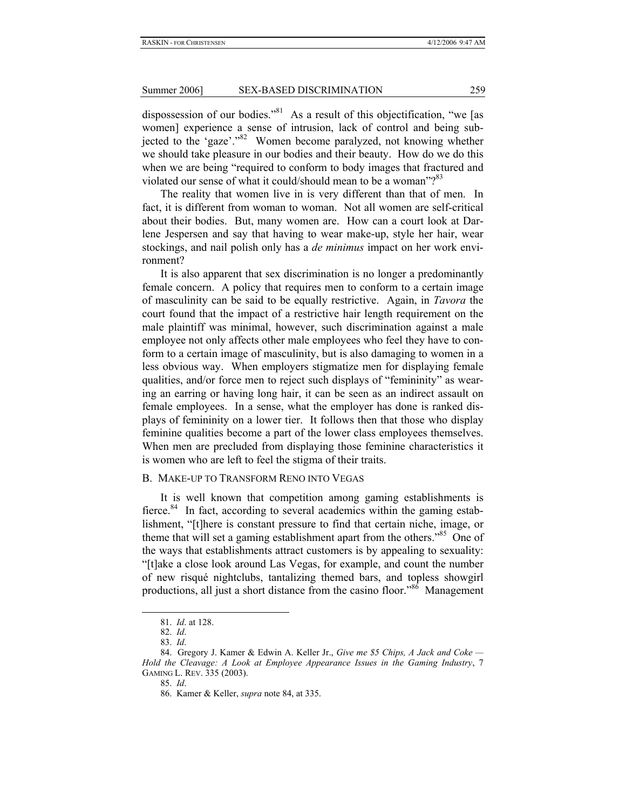dispossession of our bodies."81 As a result of this objectification, "we [as women] experience a sense of intrusion, lack of control and being subjected to the 'gaze'."82 Women become paralyzed, not knowing whether we should take pleasure in our bodies and their beauty. How do we do this when we are being "required to conform to body images that fractured and violated our sense of what it could/should mean to be a woman"?<sup>83</sup>

The reality that women live in is very different than that of men. In fact, it is different from woman to woman. Not all women are self-critical about their bodies. But, many women are. How can a court look at Darlene Jespersen and say that having to wear make-up, style her hair, wear stockings, and nail polish only has a *de minimus* impact on her work environment?

It is also apparent that sex discrimination is no longer a predominantly female concern. A policy that requires men to conform to a certain image of masculinity can be said to be equally restrictive. Again, in *Tavora* the court found that the impact of a restrictive hair length requirement on the male plaintiff was minimal, however, such discrimination against a male employee not only affects other male employees who feel they have to conform to a certain image of masculinity, but is also damaging to women in a less obvious way. When employers stigmatize men for displaying female qualities, and/or force men to reject such displays of "femininity" as wearing an earring or having long hair, it can be seen as an indirect assault on female employees. In a sense, what the employer has done is ranked displays of femininity on a lower tier. It follows then that those who display feminine qualities become a part of the lower class employees themselves. When men are precluded from displaying those feminine characteristics it is women who are left to feel the stigma of their traits.

#### B. MAKE-UP TO TRANSFORM RENO INTO VEGAS

It is well known that competition among gaming establishments is fierce.<sup>84</sup> In fact, according to several academics within the gaming establishment, "[t]here is constant pressure to find that certain niche, image, or theme that will set a gaming establishment apart from the others.<sup>85</sup> One of the ways that establishments attract customers is by appealing to sexuality: "[t]ake a close look around Las Vegas, for example, and count the number of new risqué nightclubs, tantalizing themed bars, and topless showgirl productions, all just a short distance from the casino floor."<sup>86</sup> Management

<sup>81.</sup> *Id*. at 128.

<sup>82.</sup> *Id*.

<sup>83.</sup> *Id*.

<sup>84.</sup> Gregory J. Kamer & Edwin A. Keller Jr., *Give me \$5 Chips, A Jack and Coke — Hold the Cleavage: A Look at Employee Appearance Issues in the Gaming Industry*, 7 GAMING L. REV. 335 (2003).

<sup>85.</sup> *Id*.

<sup>86.</sup> Kamer & Keller, *supra* note 84, at 335.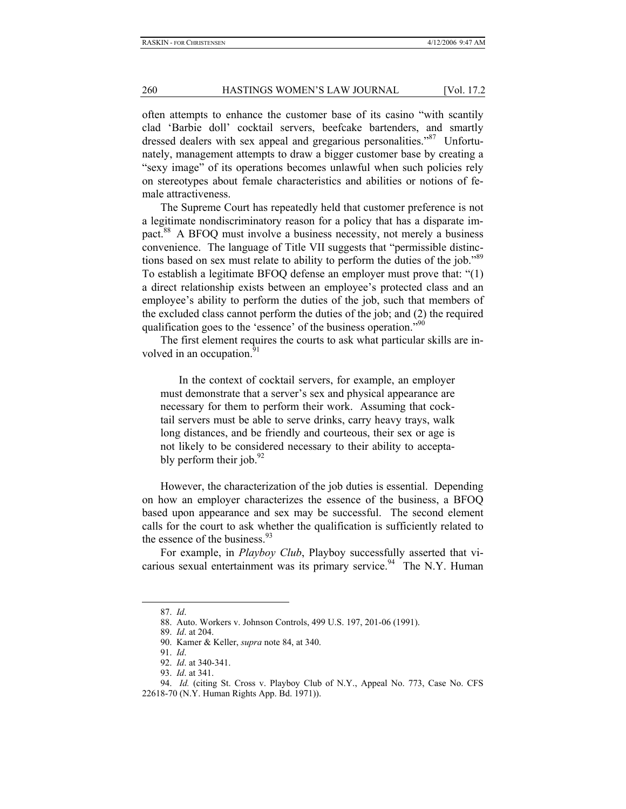often attempts to enhance the customer base of its casino "with scantily clad 'Barbie doll' cocktail servers, beefcake bartenders, and smartly dressed dealers with sex appeal and gregarious personalities."<sup>87</sup> Unfortunately, management attempts to draw a bigger customer base by creating a "sexy image" of its operations becomes unlawful when such policies rely on stereotypes about female characteristics and abilities or notions of female attractiveness.

The Supreme Court has repeatedly held that customer preference is not a legitimate nondiscriminatory reason for a policy that has a disparate impact.<sup>88</sup> A BFOQ must involve a business necessity, not merely a business convenience. The language of Title VII suggests that "permissible distinctions based on sex must relate to ability to perform the duties of the job."<sup>89</sup> To establish a legitimate BFOQ defense an employer must prove that: "(1) a direct relationship exists between an employee's protected class and an employee's ability to perform the duties of the job, such that members of the excluded class cannot perform the duties of the job; and (2) the required qualification goes to the 'essence' of the business operation."<sup>90</sup>

The first element requires the courts to ask what particular skills are involved in an occupation.<sup>91</sup>

In the context of cocktail servers, for example, an employer must demonstrate that a server's sex and physical appearance are necessary for them to perform their work. Assuming that cocktail servers must be able to serve drinks, carry heavy trays, walk long distances, and be friendly and courteous, their sex or age is not likely to be considered necessary to their ability to acceptably perform their job. $^{92}$ 

However, the characterization of the job duties is essential. Depending on how an employer characterizes the essence of the business, a BFOQ based upon appearance and sex may be successful. The second element calls for the court to ask whether the qualification is sufficiently related to the essence of the business. $93$ 

For example, in *Playboy Club*, Playboy successfully asserted that vicarious sexual entertainment was its primary service.<sup>94</sup> The N.Y. Human

<sup>87.</sup> *Id*.

<sup>88.</sup> Auto. Workers v. Johnson Controls, 499 U.S. 197, 201-06 (1991).

<sup>89.</sup> *Id*. at 204.

<sup>90.</sup> Kamer & Keller, *supra* note 84, at 340.

<sup>91.</sup> *Id*.

<sup>92.</sup> *Id*. at 340-341.

<sup>93.</sup> *Id*. at 341.

<sup>94.</sup> *Id.* (citing St. Cross v. Playboy Club of N.Y., Appeal No. 773, Case No. CFS 22618-70 (N.Y. Human Rights App. Bd. 1971)).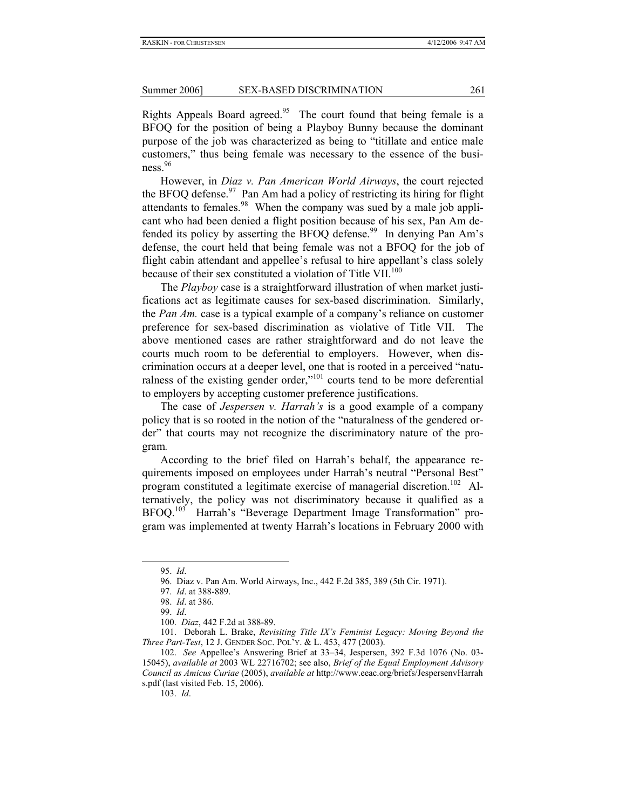Rights Appeals Board agreed.<sup>95</sup> The court found that being female is a BFOQ for the position of being a Playboy Bunny because the dominant purpose of the job was characterized as being to "titillate and entice male customers," thus being female was necessary to the essence of the busi $ness.<sup>96</sup>$ 

However, in *Diaz v. Pan American World Airways*, the court rejected the BFOQ defense.<sup>97</sup> Pan Am had a policy of restricting its hiring for flight attendants to females.<sup>98</sup> When the company was sued by a male job applicant who had been denied a flight position because of his sex, Pan Am defended its policy by asserting the BFOQ defense.<sup>99</sup> In denying Pan Am's defense, the court held that being female was not a BFOQ for the job of flight cabin attendant and appellee's refusal to hire appellant's class solely because of their sex constituted a violation of Title VII.<sup>100</sup>

The *Playboy* case is a straightforward illustration of when market justifications act as legitimate causes for sex-based discrimination. Similarly, the *Pan Am.* case is a typical example of a company's reliance on customer preference for sex-based discrimination as violative of Title VII. The above mentioned cases are rather straightforward and do not leave the courts much room to be deferential to employers. However, when discrimination occurs at a deeper level, one that is rooted in a perceived "naturalness of the existing gender order,"<sup>101</sup> courts tend to be more deferential to employers by accepting customer preference justifications.

The case of *Jespersen v. Harrah's* is a good example of a company policy that is so rooted in the notion of the "naturalness of the gendered order" that courts may not recognize the discriminatory nature of the program*.* 

According to the brief filed on Harrah's behalf, the appearance requirements imposed on employees under Harrah's neutral "Personal Best" program constituted a legitimate exercise of managerial discretion.<sup>102</sup> Alternatively, the policy was not discriminatory because it qualified as a BFOQ.103 Harrah's "Beverage Department Image Transformation" program was implemented at twenty Harrah's locations in February 2000 with

l

103. *Id*.

<sup>95.</sup> *Id*.

<sup>96.</sup> Diaz v. Pan Am. World Airways, Inc., 442 F.2d 385, 389 (5th Cir. 1971).

<sup>97.</sup> *Id*. at 388-889.

<sup>98.</sup> *Id*. at 386.

<sup>99.</sup> *Id*.

<sup>100.</sup> *Diaz*, 442 F.2d at 388-89.

<sup>101.</sup> Deborah L. Brake, *Revisiting Title IX's Feminist Legacy: Moving Beyond the Three Part-Test*, 12 J. GENDER SOC. POL'Y. & L. 453, 477 (2003).

<sup>102.</sup> *See* Appellee's Answering Brief at 33–34, Jespersen, 392 F.3d 1076 (No. 03- 15045), *available at* 2003 WL 22716702; see also, *Brief of the Equal Employment Advisory Council as Amicus Curiae* (2005), *available at* http://www.eeac.org/briefs/JespersenvHarrah s.pdf (last visited Feb. 15, 2006).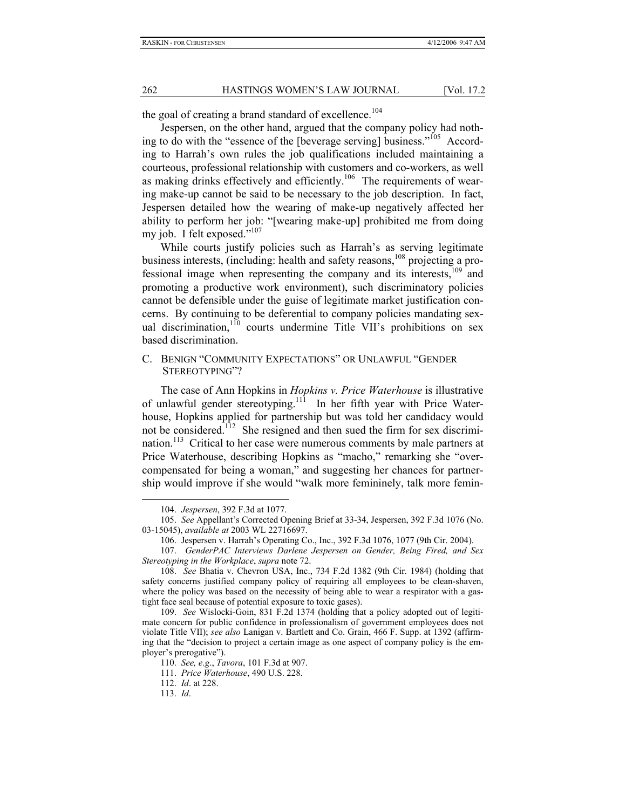the goal of creating a brand standard of excellence.<sup>104</sup>

Jespersen, on the other hand, argued that the company policy had nothing to do with the "essence of the [beverage serving] business."<sup>105</sup> According to Harrah's own rules the job qualifications included maintaining a courteous, professional relationship with customers and co-workers, as well as making drinks effectively and efficiently.<sup>106</sup> The requirements of wearing make-up cannot be said to be necessary to the job description. In fact, Jespersen detailed how the wearing of make-up negatively affected her ability to perform her job: "[wearing make-up] prohibited me from doing my job. I felt exposed."<sup>107</sup>

While courts justify policies such as Harrah's as serving legitimate business interests, (including: health and safety reasons,<sup>108</sup> projecting a professional image when representing the company and its interests, $109$  and promoting a productive work environment), such discriminatory policies cannot be defensible under the guise of legitimate market justification concerns. By continuing to be deferential to company policies mandating sexual discrimination, $110$  courts undermine Title VII's prohibitions on sex based discrimination.

#### C. BENIGN "COMMUNITY EXPECTATIONS" OR UNLAWFUL "GENDER STEREOTYPING"?

The case of Ann Hopkins in *Hopkins v. Price Waterhouse* is illustrative of unlawful gender stereotyping.<sup>111</sup> In her fifth year with Price Waterhouse, Hopkins applied for partnership but was told her candidacy would not be considered.<sup>112</sup> She resigned and then sued the firm for sex discrimination.<sup>113</sup> Critical to her case were numerous comments by male partners at Price Waterhouse, describing Hopkins as "macho," remarking she "overcompensated for being a woman," and suggesting her chances for partnership would improve if she would "walk more femininely, talk more femin-

<sup>104.</sup> *Jespersen*, 392 F.3d at 1077.

<sup>105.</sup> *See* Appellant's Corrected Opening Brief at 33-34, Jespersen, 392 F.3d 1076 (No. 03-15045), *available at* 2003 WL 22716697.

<sup>106.</sup> Jespersen v. Harrah's Operating Co., Inc., 392 F.3d 1076, 1077 (9th Cir. 2004).

<sup>107.</sup> *GenderPAC Interviews Darlene Jespersen on Gender, Being Fired, and Sex Stereotyping in the Workplace*, *supra* note 72.

<sup>108.</sup> *See* Bhatia v. Chevron USA, Inc., 734 F.2d 1382 (9th Cir. 1984) (holding that safety concerns justified company policy of requiring all employees to be clean-shaven, where the policy was based on the necessity of being able to wear a respirator with a gastight face seal because of potential exposure to toxic gases).

<sup>109.</sup> *See* Wislocki-Goin, 831 F.2d 1374 (holding that a policy adopted out of legitimate concern for public confidence in professionalism of government employees does not violate Title VII); *see also* Lanigan v. Bartlett and Co. Grain, 466 F. Supp. at 1392 (affirming that the "decision to project a certain image as one aspect of company policy is the employer's prerogative").

<sup>110.</sup> *See, e.g*., *Tavora*, 101 F.3d at 907.

<sup>111.</sup> *Price Waterhouse*, 490 U.S. 228.

<sup>112.</sup> *Id*. at 228.

<sup>113.</sup> *Id*.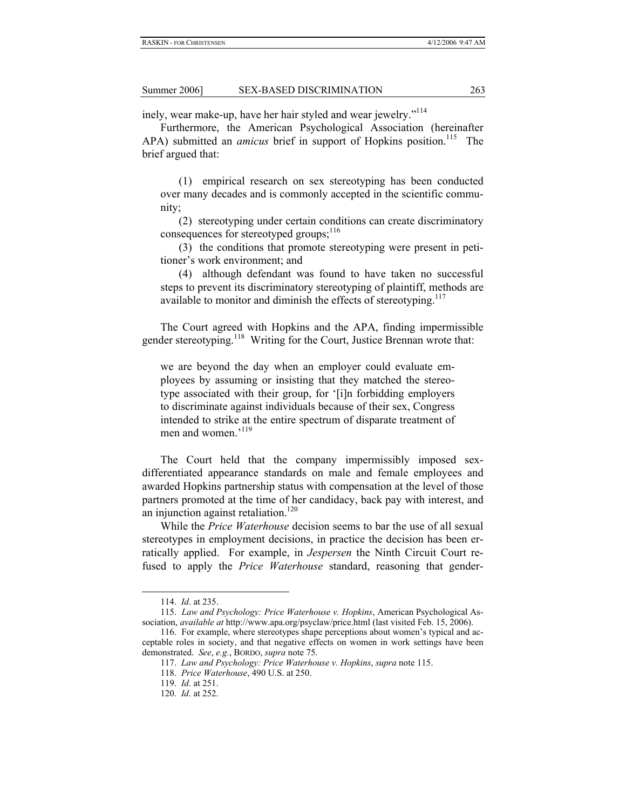inely, wear make-up, have her hair styled and wear jewelry."<sup>114</sup>

Furthermore, the American Psychological Association (hereinafter APA) submitted an *amicus* brief in support of Hopkins position.<sup>115</sup> The brief argued that:

(1) empirical research on sex stereotyping has been conducted over many decades and is commonly accepted in the scientific community;

(2) stereotyping under certain conditions can create discriminatory consequences for stereotyped groups;<sup>116</sup>

(3) the conditions that promote stereotyping were present in petitioner's work environment; and

(4) although defendant was found to have taken no successful steps to prevent its discriminatory stereotyping of plaintiff, methods are available to monitor and diminish the effects of stereotyping. $117$ 

The Court agreed with Hopkins and the APA, finding impermissible gender stereotyping.<sup>118</sup> Writing for the Court, Justice Brennan wrote that:

we are beyond the day when an employer could evaluate employees by assuming or insisting that they matched the stereotype associated with their group, for '[i]n forbidding employers to discriminate against individuals because of their sex, Congress intended to strike at the entire spectrum of disparate treatment of men and women.'<sup>119</sup>

The Court held that the company impermissibly imposed sexdifferentiated appearance standards on male and female employees and awarded Hopkins partnership status with compensation at the level of those partners promoted at the time of her candidacy, back pay with interest, and an injunction against retaliation.<sup>120</sup>

While the *Price Waterhouse* decision seems to bar the use of all sexual stereotypes in employment decisions, in practice the decision has been erratically applied. For example, in *Jespersen* the Ninth Circuit Court refused to apply the *Price Waterhouse* standard, reasoning that gender-

<sup>114.</sup> *Id*. at 235.

<sup>115.</sup> *Law and Psychology: Price Waterhouse v. Hopkins*, American Psychological Association, *available at* http://www.apa.org/psyclaw/price.html (last visited Feb. 15, 2006).

<sup>116.</sup> For example, where stereotypes shape perceptions about women's typical and acceptable roles in society, and that negative effects on women in work settings have been demonstrated. *See*, *e.g.*, BORDO, *supra* note 75.

<sup>117.</sup> *Law and Psychology: Price Waterhouse v. Hopkins*, *supra* note 115.

<sup>118.</sup> *Price Waterhouse*, 490 U.S. at 250.

<sup>119.</sup> *Id*. at 251.

<sup>120.</sup> *Id*. at 252.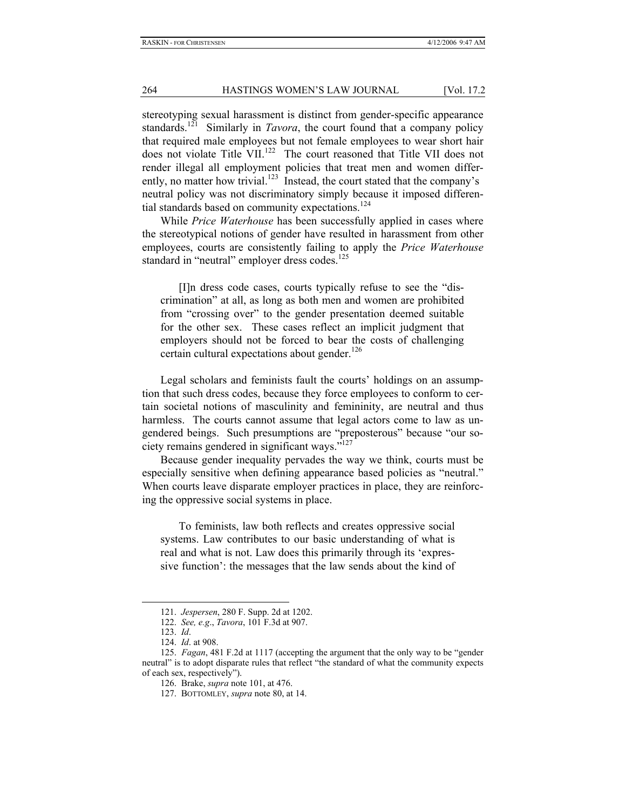stereotyping sexual harassment is distinct from gender-specific appearance standards.121 Similarly in *Tavora*, the court found that a company policy that required male employees but not female employees to wear short hair does not violate Title VII.<sup>122</sup> The court reasoned that Title VII does not render illegal all employment policies that treat men and women differently, no matter how trivial.<sup>123</sup> Instead, the court stated that the company's neutral policy was not discriminatory simply because it imposed differential standards based on community expectations.<sup>124</sup>

While *Price Waterhouse* has been successfully applied in cases where the stereotypical notions of gender have resulted in harassment from other employees, courts are consistently failing to apply the *Price Waterhouse* standard in "neutral" employer dress codes.<sup>125</sup>

[I]n dress code cases, courts typically refuse to see the "discrimination" at all, as long as both men and women are prohibited from "crossing over" to the gender presentation deemed suitable for the other sex. These cases reflect an implicit judgment that employers should not be forced to bear the costs of challenging certain cultural expectations about gender. $126$ 

Legal scholars and feminists fault the courts' holdings on an assumption that such dress codes, because they force employees to conform to certain societal notions of masculinity and femininity, are neutral and thus harmless. The courts cannot assume that legal actors come to law as ungendered beings. Such presumptions are "preposterous" because "our society remains gendered in significant ways."127

Because gender inequality pervades the way we think, courts must be especially sensitive when defining appearance based policies as "neutral." When courts leave disparate employer practices in place, they are reinforcing the oppressive social systems in place.

To feminists, law both reflects and creates oppressive social systems. Law contributes to our basic understanding of what is real and what is not. Law does this primarily through its 'expressive function': the messages that the law sends about the kind of

<sup>121.</sup> *Jespersen*, 280 F. Supp. 2d at 1202.

<sup>122.</sup> *See, e.g*., *Tavora*, 101 F.3d at 907.

<sup>123.</sup> *Id*.

<sup>124.</sup> *Id*. at 908.

<sup>125.</sup> *Fagan*, 481 F.2d at 1117 (accepting the argument that the only way to be "gender neutral" is to adopt disparate rules that reflect "the standard of what the community expects of each sex, respectively").

<sup>126.</sup> Brake, *supra* note 101, at 476.

<sup>127.</sup> BOTTOMLEY, *supra* note 80, at 14.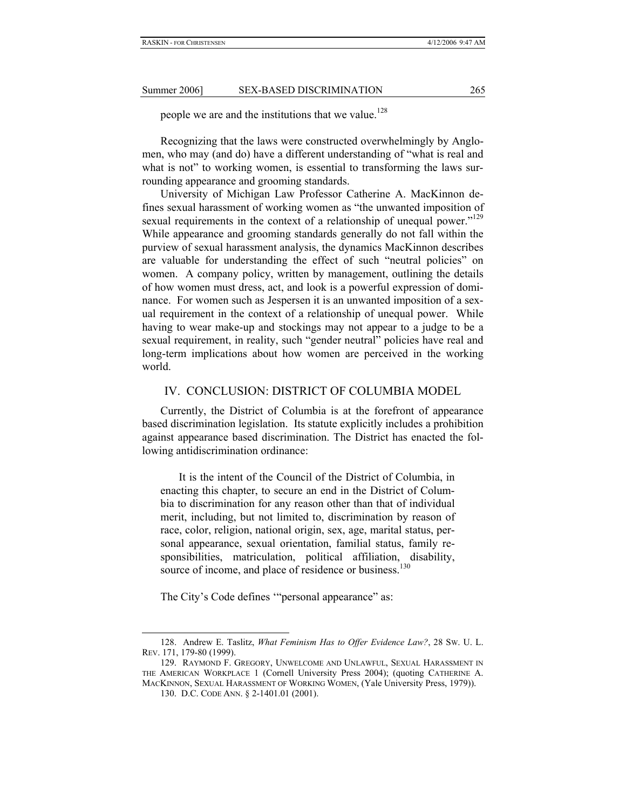people we are and the institutions that we value.<sup>128</sup>

Recognizing that the laws were constructed overwhelmingly by Anglomen, who may (and do) have a different understanding of "what is real and what is not" to working women, is essential to transforming the laws surrounding appearance and grooming standards.

University of Michigan Law Professor Catherine A. MacKinnon defines sexual harassment of working women as "the unwanted imposition of sexual requirements in the context of a relationship of unequal power."<sup>129</sup> While appearance and grooming standards generally do not fall within the purview of sexual harassment analysis, the dynamics MacKinnon describes are valuable for understanding the effect of such "neutral policies" on women. A company policy, written by management, outlining the details of how women must dress, act, and look is a powerful expression of dominance. For women such as Jespersen it is an unwanted imposition of a sexual requirement in the context of a relationship of unequal power. While having to wear make-up and stockings may not appear to a judge to be a sexual requirement, in reality, such "gender neutral" policies have real and long-term implications about how women are perceived in the working world.

#### IV. CONCLUSION: DISTRICT OF COLUMBIA MODEL

Currently, the District of Columbia is at the forefront of appearance based discrimination legislation. Its statute explicitly includes a prohibition against appearance based discrimination. The District has enacted the following antidiscrimination ordinance:

It is the intent of the Council of the District of Columbia, in enacting this chapter, to secure an end in the District of Columbia to discrimination for any reason other than that of individual merit, including, but not limited to, discrimination by reason of race, color, religion, national origin, sex, age, marital status, personal appearance, sexual orientation, familial status, family responsibilities, matriculation, political affiliation, disability, source of income, and place of residence or business.<sup>130</sup>

The City's Code defines ""personal appearance" as:

<sup>128.</sup> Andrew E. Taslitz, *What Feminism Has to Offer Evidence Law?*, 28 SW. U. L. REV. 171, 179-80 (1999).

<sup>129.</sup> RAYMOND F. GREGORY, UNWELCOME AND UNLAWFUL, SEXUAL HARASSMENT IN THE AMERICAN WORKPLACE 1 (Cornell University Press 2004); (quoting CATHERINE A. MACKINNON, SEXUAL HARASSMENT OF WORKING WOMEN, (Yale University Press, 1979)).

<sup>130.</sup> D.C. CODE ANN. § 2-1401.01 (2001).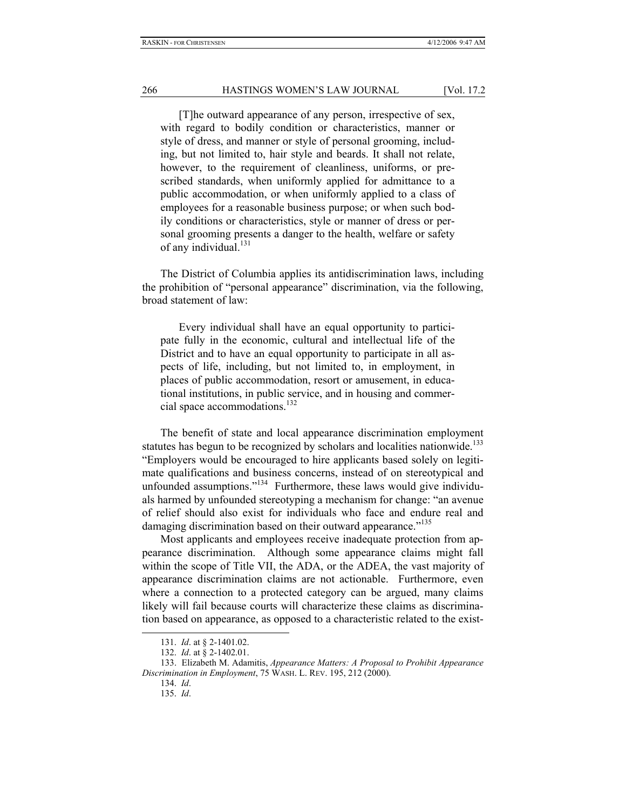[T]he outward appearance of any person, irrespective of sex, with regard to bodily condition or characteristics, manner or style of dress, and manner or style of personal grooming, including, but not limited to, hair style and beards. It shall not relate, however, to the requirement of cleanliness, uniforms, or prescribed standards, when uniformly applied for admittance to a public accommodation, or when uniformly applied to a class of employees for a reasonable business purpose; or when such bodily conditions or characteristics, style or manner of dress or personal grooming presents a danger to the health, welfare or safety of any individual.<sup>131</sup>

The District of Columbia applies its antidiscrimination laws, including the prohibition of "personal appearance" discrimination, via the following, broad statement of law:

Every individual shall have an equal opportunity to participate fully in the economic, cultural and intellectual life of the District and to have an equal opportunity to participate in all aspects of life, including, but not limited to, in employment, in places of public accommodation, resort or amusement, in educational institutions, in public service, and in housing and commercial space accommodations.<sup>132</sup>

The benefit of state and local appearance discrimination employment statutes has begun to be recognized by scholars and localities nationwide.<sup>133</sup> "Employers would be encouraged to hire applicants based solely on legitimate qualifications and business concerns, instead of on stereotypical and unfounded assumptions." $134$  Furthermore, these laws would give individuals harmed by unfounded stereotyping a mechanism for change: "an avenue of relief should also exist for individuals who face and endure real and damaging discrimination based on their outward appearance."<sup>135</sup>

Most applicants and employees receive inadequate protection from appearance discrimination. Although some appearance claims might fall within the scope of Title VII, the ADA, or the ADEA, the vast majority of appearance discrimination claims are not actionable. Furthermore, even where a connection to a protected category can be argued, many claims likely will fail because courts will characterize these claims as discrimination based on appearance, as opposed to a characteristic related to the exist-

<sup>131.</sup> *Id*. at § 2-1401.02.

<sup>132.</sup> *Id*. at § 2-1402.01.

<sup>133.</sup> Elizabeth M. Adamitis, *Appearance Matters: A Proposal to Prohibit Appearance Discrimination in Employment*, 75 WASH. L. REV. 195, 212 (2000).

<sup>134.</sup> *Id*.

<sup>135.</sup> *Id*.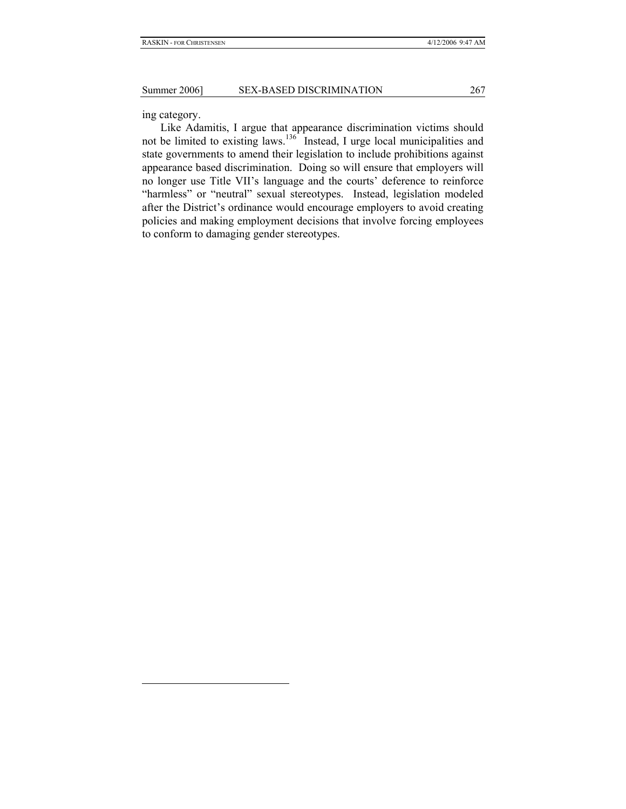ing category.

l

Like Adamitis, I argue that appearance discrimination victims should not be limited to existing laws.<sup>136</sup> Instead, I urge local municipalities and state governments to amend their legislation to include prohibitions against appearance based discrimination. Doing so will ensure that employers will no longer use Title VII's language and the courts' deference to reinforce "harmless" or "neutral" sexual stereotypes. Instead, legislation modeled after the District's ordinance would encourage employers to avoid creating policies and making employment decisions that involve forcing employees to conform to damaging gender stereotypes.